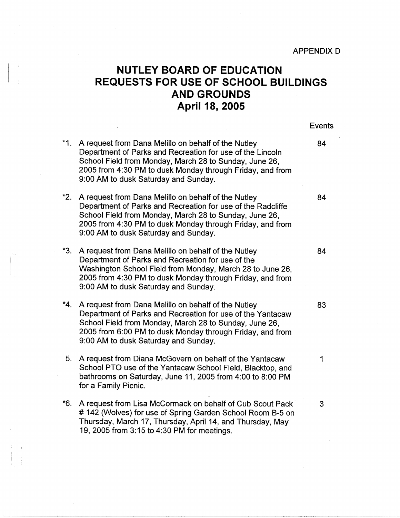APPENDIX D

## **NUTLEY BOARD OF EDUCATION REQUESTS FOR USE OF SCHOOL BUILDINGS AND GROUNDS April 18, 2005**

Events

- **\*1.**  A request from Dana Melillo on behalf of the Nutley **84**  Department of Parks and Recreation for use of the Lincoln School Field from Monday, March 28 to Sunday, June 26, 2005 from 4:30 PM to dusk Monday through Friday, and from 9:00 AM to dusk Saturday and Sunday.
- **\*2.**  A request from Dana Melillo on behalf of the Nutley **84**  Department of Parks and Recreation for use of the Radcliffe School Field from Monday, March 28 to Sunday, June 26, 2005 from 4:30 PM to dusk Monday through Friday, and from 9:00 AM to dusk Saturday and Sunday.
- **\*3.**  A request from Dana Melillo on behalf of the Nutley **84**  Department of Parks and Recreation for use of the Washington School Field from Monday, March 28 to June 26, 2005 from 4:30 PM to dusk Monday through Friday, and from 9:00 AM to dusk Saturday and Sunday.
- **\*4.**  A request from Dana Melillo on behalf of the Nutley 83 Department of Parks and Recreation for use of the Yantacaw School Field from Monday, March 28 to Sunday, June 26, 2005 from 6:00 PM to dusk Monday through Friday, and from 9:00 AM to dusk Saturday and Sunday.
- 5. A request from Diana McGovern on behalf of the Yantacaw 1 School PTO use of the Yantacaw School Field, Blacktop, and bathrooms on Saturday, June 11, 2005 from 4:00 to 8:00 PM for a Family Picnic.
- **\*6.**  A request from Lisa McCormack on behalf of Cub Scout Pack 3 # 142 (Wolves) for use of Spring Garden School Room B-5 on Thursday, March 17, Thursday, April 14, and Thursday, May 19, 2005 from 3:15 to 4:30 PM for meetings.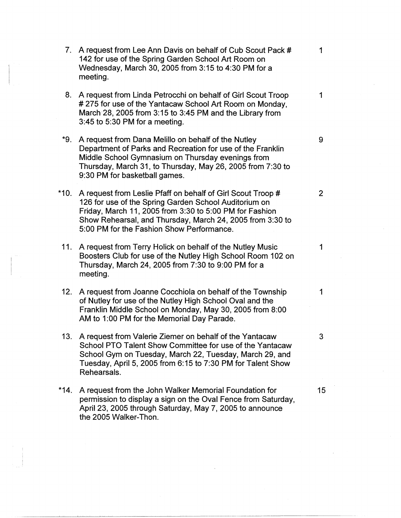- 7. A request from Lee Ann Davis on behalf of Cub Scout Pack # 1 142 for use of the Spring Garden School Art Room on Wednesday, March 30, 2005 from 3:15 to 4:30 PM for a meeting.
- 8. A request from Linda Petrocchi on behalf of Girl Scout Troop 1 # 275 for use of the Yantacaw School Art Room on Monday, March 28, 2005 from 3: 15 to 3:45 PM and the Library from 3:45 to 5:30 PM for a meeting.
- \*9. A request from Dana Melillo on behalf of the Nutley  $\overline{9}$ Department of Parks and Recreation for use of the Franklin Middle School Gymnasium on Thursday evenings from Thursday, March 31, to Thursday, May 26, 2005 from 7:30 to 9:30 PM for basketball games.
- \*10. A request from Leslie Pfaff on behalf of Girl Scout Troop # 2 126 for use of the Spring Garden School Auditorium on Friday, March 11, 2005 from 3:30 to 5:00 PM for Fashion Show Rehearsal, and Thursday, March 24, 2005 from 3:30 to 5:00 PM for the Fashion Show Performance.
- 11. A request from Terry Halick on behalf of the Nutley Music 1 Boosters Club for use of the Nutley High School Room 102 on Thursday, March 24, 2005 from 7:30 to 9:00 PM for a meeting.
- 12. A request from Joanne Cocchiola on behalf of the Township 1 of Nutley for use of the Nutley High School Oval and the Franklin Middle School on Monday, May 30, 2005 from 8:00 AM to 1:00 PM for the Memorial Day Parade.
- 13. A request from Valerie Ziemer on behalf of the Yantacaw 3 School PTO Talent Show Committee for use of the Yantacaw School Gym on Tuesday, March 22, Tuesday, March 29, and Tuesday, April 5, 2005 from 6: 15 to 7:30 PM for Talent Show Rehearsals.
- \*14. A request from the John Walker Memorial Foundation for 15 permission to display a sign on the Oval Fence from Saturday, April 23, 2005 through Saturday, May 7, 2005 to announce the 2005 Walker-Thon.